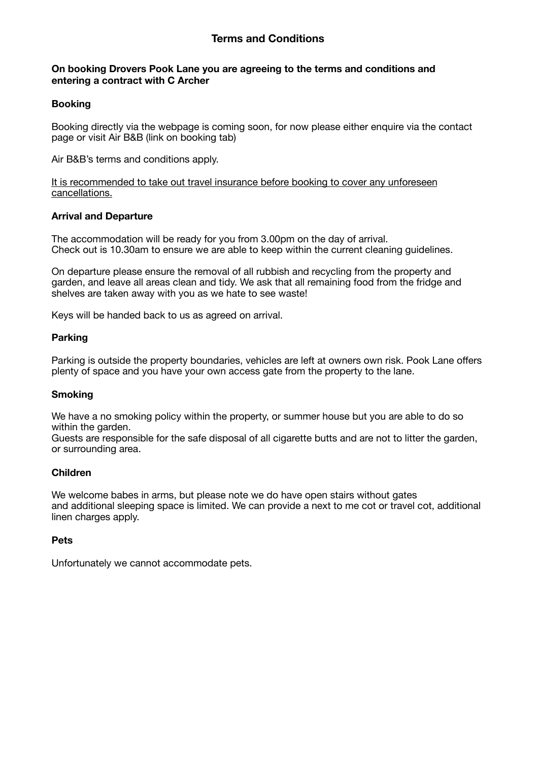### **On booking Drovers Pook Lane you are agreeing to the terms and conditions and entering a contract with C Archer**

## **Booking**

Booking directly via the webpage is coming soon, for now please either enquire via the contact page or visit Air B&B (link on booking tab)

Air B&B's terms and conditions apply.

It is recommended to take out travel insurance before booking to cover any unforeseen cancellations.

### **Arrival and Departure**

The accommodation will be ready for you from 3.00pm on the day of arrival. Check out is 10.30am to ensure we are able to keep within the current cleaning guidelines.

On departure please ensure the removal of all rubbish and recycling from the property and garden, and leave all areas clean and tidy. We ask that all remaining food from the fridge and shelves are taken away with you as we hate to see waste!

Keys will be handed back to us as agreed on arrival.

### **Parking**

Parking is outside the property boundaries, vehicles are left at owners own risk. Pook Lane offers plenty of space and you have your own access gate from the property to the lane.

### **Smoking**

We have a no smoking policy within the property, or summer house but you are able to do so within the garden.

Guests are responsible for the safe disposal of all cigarette butts and are not to litter the garden, or surrounding area.

### **Children**

We welcome babes in arms, but please note we do have open stairs without gates and additional sleeping space is limited. We can provide a next to me cot or travel cot, additional linen charges apply.

### **Pets**

Unfortunately we cannot accommodate pets.